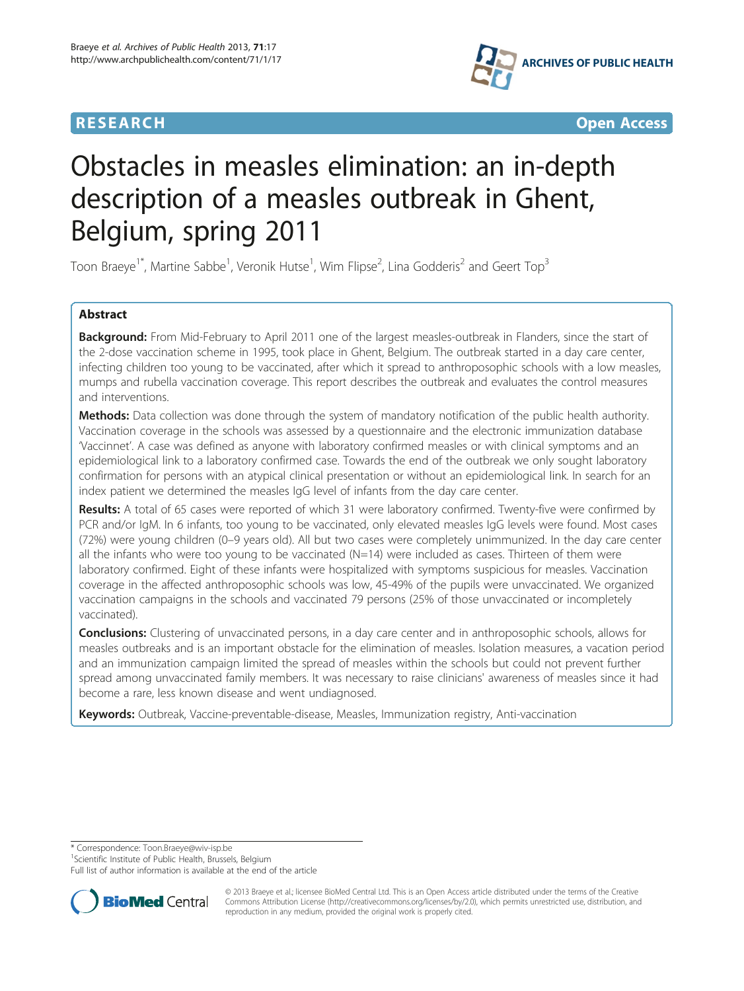



# Obstacles in measles elimination: an in-depth description of a measles outbreak in Ghent, Belgium, spring 2011

Toon Braeye<sup>1\*</sup>, Martine Sabbe<sup>1</sup>, Veronik Hutse<sup>1</sup>, Wim Flipse<sup>2</sup>, Lina Godderis<sup>2</sup> and Geert Top<sup>3</sup>

# Abstract

Background: From Mid-February to April 2011 one of the largest measles-outbreak in Flanders, since the start of the 2-dose vaccination scheme in 1995, took place in Ghent, Belgium. The outbreak started in a day care center, infecting children too young to be vaccinated, after which it spread to anthroposophic schools with a low measles, mumps and rubella vaccination coverage. This report describes the outbreak and evaluates the control measures and interventions.

**Methods:** Data collection was done through the system of mandatory notification of the public health authority. Vaccination coverage in the schools was assessed by a questionnaire and the electronic immunization database 'Vaccinnet'. A case was defined as anyone with laboratory confirmed measles or with clinical symptoms and an epidemiological link to a laboratory confirmed case. Towards the end of the outbreak we only sought laboratory confirmation for persons with an atypical clinical presentation or without an epidemiological link. In search for an index patient we determined the measles IgG level of infants from the day care center.

Results: A total of 65 cases were reported of which 31 were laboratory confirmed. Twenty-five were confirmed by PCR and/or IgM. In 6 infants, too young to be vaccinated, only elevated measles IgG levels were found. Most cases (72%) were young children (0–9 years old). All but two cases were completely unimmunized. In the day care center all the infants who were too young to be vaccinated (N=14) were included as cases. Thirteen of them were laboratory confirmed. Eight of these infants were hospitalized with symptoms suspicious for measles. Vaccination coverage in the affected anthroposophic schools was low, 45-49% of the pupils were unvaccinated. We organized vaccination campaigns in the schools and vaccinated 79 persons (25% of those unvaccinated or incompletely vaccinated).

**Conclusions:** Clustering of unvaccinated persons, in a day care center and in anthroposophic schools, allows for measles outbreaks and is an important obstacle for the elimination of measles. Isolation measures, a vacation period and an immunization campaign limited the spread of measles within the schools but could not prevent further spread among unvaccinated family members. It was necessary to raise clinicians' awareness of measles since it had become a rare, less known disease and went undiagnosed.

Keywords: Outbreak, Vaccine-preventable-disease, Measles, Immunization registry, Anti-vaccination

\* Correspondence: [Toon.Braeye@wiv-isp.be](mailto:Toon.Braeye@wiv-isp.be) <sup>1</sup>

<sup>1</sup>Scientific Institute of Public Health, Brussels, Belgium

Full list of author information is available at the end of the article



© 2013 Braeye et al.; licensee BioMed Central Ltd. This is an Open Access article distributed under the terms of the Creative Commons Attribution License [\(http://creativecommons.org/licenses/by/2.0\)](http://creativecommons.org/licenses/by/2.0), which permits unrestricted use, distribution, and reproduction in any medium, provided the original work is properly cited.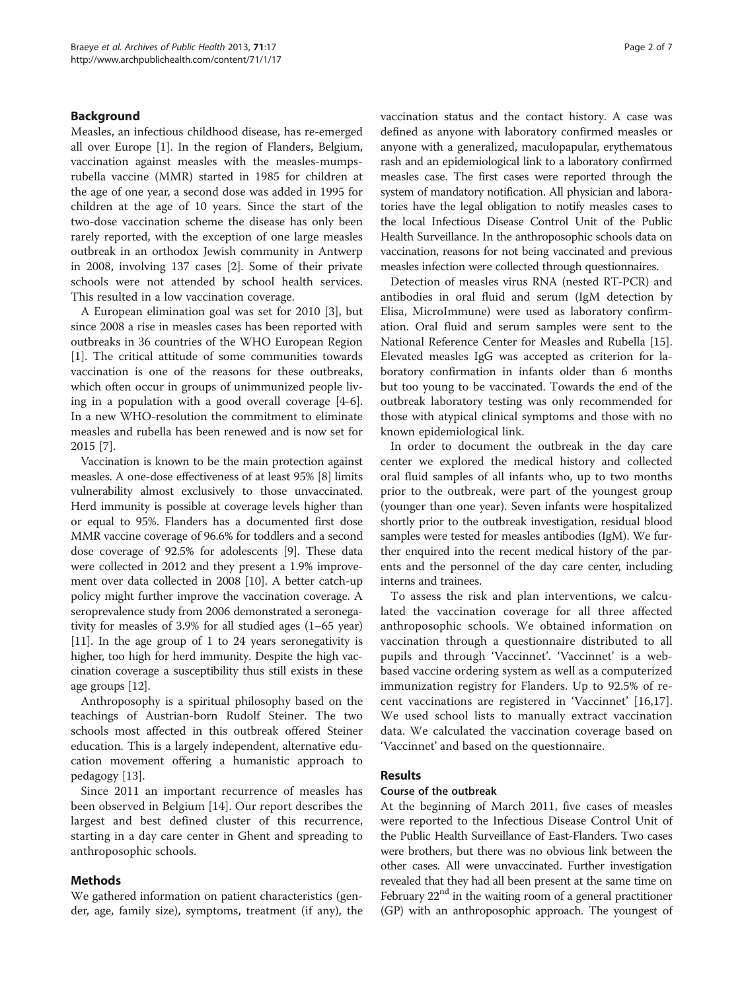## Background

Measles, an infectious childhood disease, has re-emerged all over Europe [\[1](#page-5-0)]. In the region of Flanders, Belgium, vaccination against measles with the measles-mumpsrubella vaccine (MMR) started in 1985 for children at the age of one year, a second dose was added in 1995 for children at the age of 10 years. Since the start of the two-dose vaccination scheme the disease has only been rarely reported, with the exception of one large measles outbreak in an orthodox Jewish community in Antwerp in 2008, involving 137 cases [[2\]](#page-5-0). Some of their private schools were not attended by school health services. This resulted in a low vaccination coverage.

A European elimination goal was set for 2010 [\[3](#page-5-0)], but since 2008 a rise in measles cases has been reported with outbreaks in 36 countries of the WHO European Region [[1\]](#page-5-0). The critical attitude of some communities towards vaccination is one of the reasons for these outbreaks, which often occur in groups of unimmunized people living in a population with a good overall coverage [[4](#page-5-0)[-6](#page-6-0)]. In a new WHO-resolution the commitment to eliminate measles and rubella has been renewed and is now set for 2015 [\[7](#page-6-0)].

Vaccination is known to be the main protection against measles. A one-dose effectiveness of at least 95% [\[8](#page-6-0)] limits vulnerability almost exclusively to those unvaccinated. Herd immunity is possible at coverage levels higher than or equal to 95%. Flanders has a documented first dose MMR vaccine coverage of 96.6% for toddlers and a second dose coverage of 92.5% for adolescents [\[9](#page-6-0)]. These data were collected in 2012 and they present a 1.9% improvement over data collected in 2008 [\[10\]](#page-6-0). A better catch-up policy might further improve the vaccination coverage. A seroprevalence study from 2006 demonstrated a seronegativity for measles of 3.9% for all studied ages (1–65 year) [[11](#page-6-0)]. In the age group of 1 to 24 years seronegativity is higher, too high for herd immunity. Despite the high vaccination coverage a susceptibility thus still exists in these age groups [[12](#page-6-0)].

Anthroposophy is a spiritual philosophy based on the teachings of Austrian-born Rudolf Steiner. The two schools most affected in this outbreak offered Steiner education. This is a largely independent, alternative education movement offering a humanistic approach to pedagogy [[13\]](#page-6-0).

Since 2011 an important recurrence of measles has been observed in Belgium [\[14](#page-6-0)]. Our report describes the largest and best defined cluster of this recurrence, starting in a day care center in Ghent and spreading to anthroposophic schools.

#### Methods

We gathered information on patient characteristics (gender, age, family size), symptoms, treatment (if any), the vaccination status and the contact history. A case was defined as anyone with laboratory confirmed measles or anyone with a generalized, maculopapular, erythematous rash and an epidemiological link to a laboratory confirmed measles case. The first cases were reported through the system of mandatory notification. All physician and laboratories have the legal obligation to notify measles cases to the local Infectious Disease Control Unit of the Public Health Surveillance. In the anthroposophic schools data on vaccination, reasons for not being vaccinated and previous measles infection were collected through questionnaires.

Detection of measles virus RNA (nested RT-PCR) and antibodies in oral fluid and serum (IgM detection by Elisa, MicroImmune) were used as laboratory confirmation. Oral fluid and serum samples were sent to the National Reference Center for Measles and Rubella [\[15](#page-6-0)]. Elevated measles IgG was accepted as criterion for laboratory confirmation in infants older than 6 months but too young to be vaccinated. Towards the end of the outbreak laboratory testing was only recommended for those with atypical clinical symptoms and those with no known epidemiological link.

In order to document the outbreak in the day care center we explored the medical history and collected oral fluid samples of all infants who, up to two months prior to the outbreak, were part of the youngest group (younger than one year). Seven infants were hospitalized shortly prior to the outbreak investigation, residual blood samples were tested for measles antibodies (IgM). We further enquired into the recent medical history of the parents and the personnel of the day care center, including interns and trainees.

To assess the risk and plan interventions, we calculated the vaccination coverage for all three affected anthroposophic schools. We obtained information on vaccination through a questionnaire distributed to all pupils and through 'Vaccinnet'. 'Vaccinnet' is a webbased vaccine ordering system as well as a computerized immunization registry for Flanders. Up to 92.5% of recent vaccinations are registered in 'Vaccinnet' [[16,17](#page-6-0)]. We used school lists to manually extract vaccination data. We calculated the vaccination coverage based on 'Vaccinnet' and based on the questionnaire.

# Results

#### Course of the outbreak

At the beginning of March 2011, five cases of measles were reported to the Infectious Disease Control Unit of the Public Health Surveillance of East-Flanders. Two cases were brothers, but there was no obvious link between the other cases. All were unvaccinated. Further investigation revealed that they had all been present at the same time on February  $22<sup>nd</sup>$  in the waiting room of a general practitioner (GP) with an anthroposophic approach. The youngest of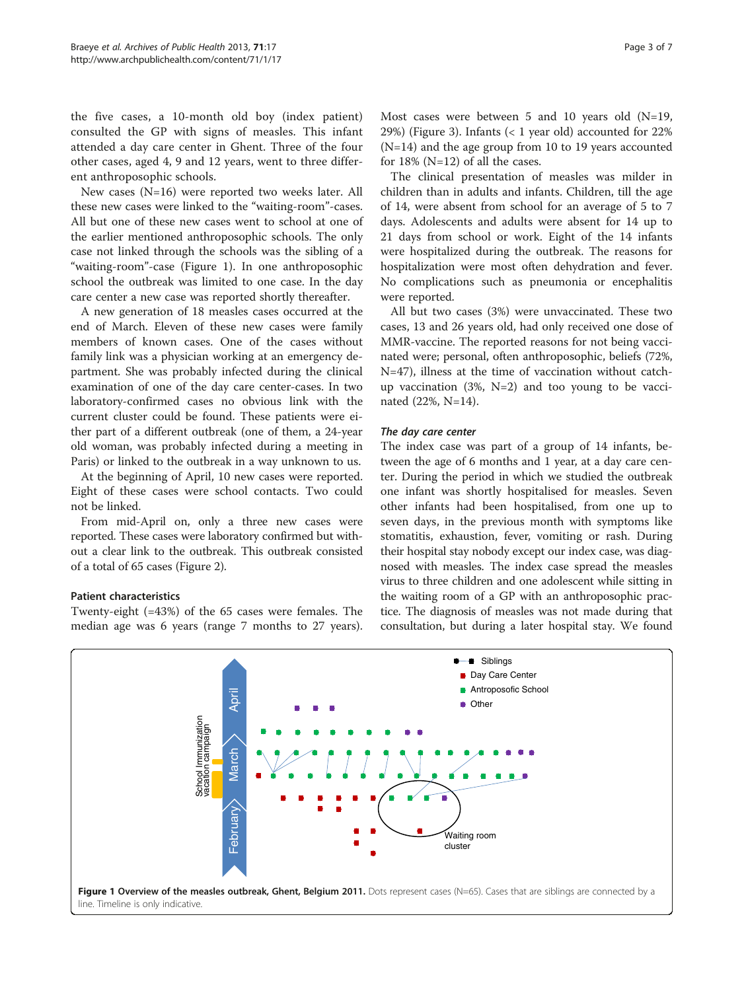the five cases, a 10-month old boy (index patient) consulted the GP with signs of measles. This infant attended a day care center in Ghent. Three of the four other cases, aged 4, 9 and 12 years, went to three different anthroposophic schools.

New cases (N=16) were reported two weeks later. All these new cases were linked to the "waiting-room"-cases. All but one of these new cases went to school at one of the earlier mentioned anthroposophic schools. The only case not linked through the schools was the sibling of a "waiting-room"-case (Figure 1). In one anthroposophic school the outbreak was limited to one case. In the day care center a new case was reported shortly thereafter.

A new generation of 18 measles cases occurred at the end of March. Eleven of these new cases were family members of known cases. One of the cases without family link was a physician working at an emergency department. She was probably infected during the clinical examination of one of the day care center-cases. In two laboratory-confirmed cases no obvious link with the current cluster could be found. These patients were either part of a different outbreak (one of them, a 24-year old woman, was probably infected during a meeting in Paris) or linked to the outbreak in a way unknown to us.

At the beginning of April, 10 new cases were reported. Eight of these cases were school contacts. Two could not be linked.

From mid-April on, only a three new cases were reported. These cases were laboratory confirmed but without a clear link to the outbreak. This outbreak consisted of a total of 65 cases (Figure [2](#page-3-0)).

#### Patient characteristics

Twenty-eight (=43%) of the 65 cases were females. The median age was 6 years (range 7 months to 27 years). Most cases were between 5 and 10 years old (N=19, 29%) (Figure [3](#page-3-0)). Infants (< 1 year old) accounted for 22% (N=14) and the age group from 10 to 19 years accounted for  $18\%$  (N=12) of all the cases.

The clinical presentation of measles was milder in children than in adults and infants. Children, till the age of 14, were absent from school for an average of 5 to 7 days. Adolescents and adults were absent for 14 up to 21 days from school or work. Eight of the 14 infants were hospitalized during the outbreak. The reasons for hospitalization were most often dehydration and fever. No complications such as pneumonia or encephalitis were reported.

All but two cases (3%) were unvaccinated. These two cases, 13 and 26 years old, had only received one dose of MMR-vaccine. The reported reasons for not being vaccinated were; personal, often anthroposophic, beliefs (72%, N=47), illness at the time of vaccination without catchup vaccination (3%, N=2) and too young to be vaccinated (22%, N=14).

## The day care center

The index case was part of a group of 14 infants, between the age of 6 months and 1 year, at a day care center. During the period in which we studied the outbreak one infant was shortly hospitalised for measles. Seven other infants had been hospitalised, from one up to seven days, in the previous month with symptoms like stomatitis, exhaustion, fever, vomiting or rash. During their hospital stay nobody except our index case, was diagnosed with measles. The index case spread the measles virus to three children and one adolescent while sitting in the waiting room of a GP with an anthroposophic practice. The diagnosis of measles was not made during that consultation, but during a later hospital stay. We found

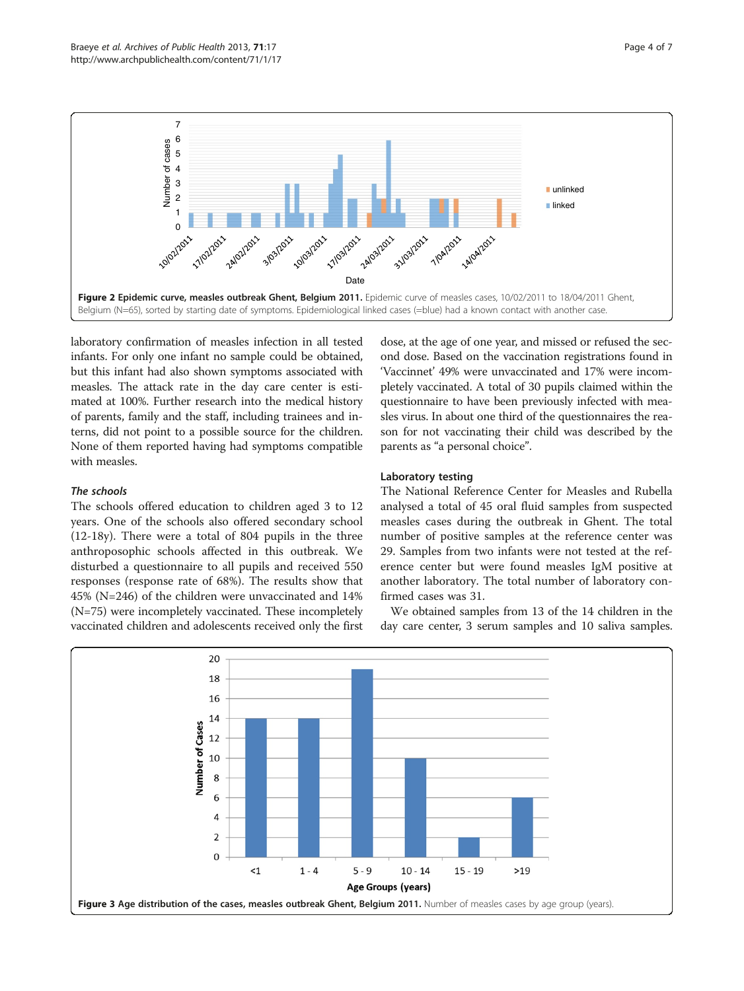<span id="page-3-0"></span>

laboratory confirmation of measles infection in all tested infants. For only one infant no sample could be obtained, but this infant had also shown symptoms associated with measles. The attack rate in the day care center is estimated at 100%. Further research into the medical history of parents, family and the staff, including trainees and interns, did not point to a possible source for the children. None of them reported having had symptoms compatible with measles.

# The schools

The schools offered education to children aged 3 to 12 years. One of the schools also offered secondary school (12-18y). There were a total of 804 pupils in the three anthroposophic schools affected in this outbreak. We disturbed a questionnaire to all pupils and received 550 responses (response rate of 68%). The results show that 45% (N=246) of the children were unvaccinated and 14% (N=75) were incompletely vaccinated. These incompletely vaccinated children and adolescents received only the first dose, at the age of one year, and missed or refused the second dose. Based on the vaccination registrations found in 'Vaccinnet' 49% were unvaccinated and 17% were incompletely vaccinated. A total of 30 pupils claimed within the questionnaire to have been previously infected with measles virus. In about one third of the questionnaires the reason for not vaccinating their child was described by the parents as "a personal choice".

# Laboratory testing

The National Reference Center for Measles and Rubella analysed a total of 45 oral fluid samples from suspected measles cases during the outbreak in Ghent. The total number of positive samples at the reference center was 29. Samples from two infants were not tested at the reference center but were found measles IgM positive at another laboratory. The total number of laboratory confirmed cases was 31.

We obtained samples from 13 of the 14 children in the day care center, 3 serum samples and 10 saliva samples.

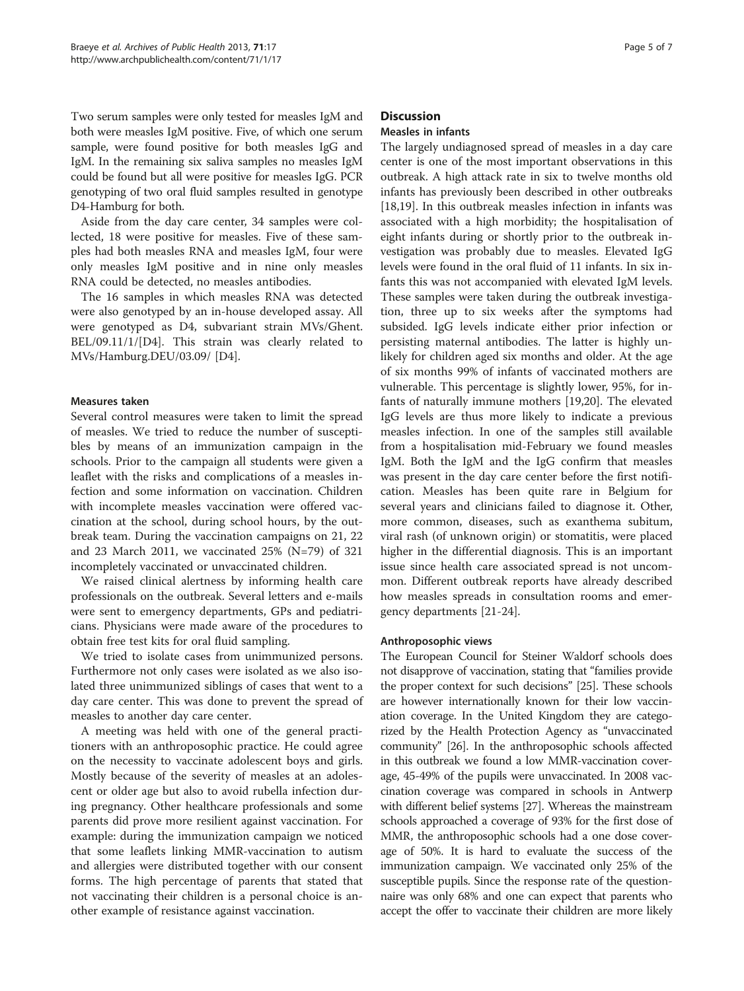Two serum samples were only tested for measles IgM and both were measles IgM positive. Five, of which one serum sample, were found positive for both measles IgG and IgM. In the remaining six saliva samples no measles IgM could be found but all were positive for measles IgG. PCR genotyping of two oral fluid samples resulted in genotype D4-Hamburg for both.

Aside from the day care center, 34 samples were collected, 18 were positive for measles. Five of these samples had both measles RNA and measles IgM, four were only measles IgM positive and in nine only measles RNA could be detected, no measles antibodies.

The 16 samples in which measles RNA was detected were also genotyped by an in-house developed assay. All were genotyped as D4, subvariant strain MVs/Ghent. BEL/09.11/1/[D4]. This strain was clearly related to MVs/Hamburg.DEU/03.09/ [D4].

## Measures taken

Several control measures were taken to limit the spread of measles. We tried to reduce the number of susceptibles by means of an immunization campaign in the schools. Prior to the campaign all students were given a leaflet with the risks and complications of a measles infection and some information on vaccination. Children with incomplete measles vaccination were offered vaccination at the school, during school hours, by the outbreak team. During the vaccination campaigns on 21, 22 and 23 March 2011, we vaccinated 25% (N=79) of 321 incompletely vaccinated or unvaccinated children.

We raised clinical alertness by informing health care professionals on the outbreak. Several letters and e-mails were sent to emergency departments, GPs and pediatricians. Physicians were made aware of the procedures to obtain free test kits for oral fluid sampling.

We tried to isolate cases from unimmunized persons. Furthermore not only cases were isolated as we also isolated three unimmunized siblings of cases that went to a day care center. This was done to prevent the spread of measles to another day care center.

A meeting was held with one of the general practitioners with an anthroposophic practice. He could agree on the necessity to vaccinate adolescent boys and girls. Mostly because of the severity of measles at an adolescent or older age but also to avoid rubella infection during pregnancy. Other healthcare professionals and some parents did prove more resilient against vaccination. For example: during the immunization campaign we noticed that some leaflets linking MMR-vaccination to autism and allergies were distributed together with our consent forms. The high percentage of parents that stated that not vaccinating their children is a personal choice is another example of resistance against vaccination.

## **Discussion**

### Measles in infants

The largely undiagnosed spread of measles in a day care center is one of the most important observations in this outbreak. A high attack rate in six to twelve months old infants has previously been described in other outbreaks [[18,19\]](#page-6-0). In this outbreak measles infection in infants was associated with a high morbidity; the hospitalisation of eight infants during or shortly prior to the outbreak investigation was probably due to measles. Elevated IgG levels were found in the oral fluid of 11 infants. In six infants this was not accompanied with elevated IgM levels. These samples were taken during the outbreak investigation, three up to six weeks after the symptoms had subsided. IgG levels indicate either prior infection or persisting maternal antibodies. The latter is highly unlikely for children aged six months and older. At the age of six months 99% of infants of vaccinated mothers are vulnerable. This percentage is slightly lower, 95%, for infants of naturally immune mothers [[19](#page-6-0),[20](#page-6-0)]. The elevated IgG levels are thus more likely to indicate a previous measles infection. In one of the samples still available from a hospitalisation mid-February we found measles IgM. Both the IgM and the IgG confirm that measles was present in the day care center before the first notification. Measles has been quite rare in Belgium for several years and clinicians failed to diagnose it. Other, more common, diseases, such as exanthema subitum, viral rash (of unknown origin) or stomatitis, were placed higher in the differential diagnosis. This is an important issue since health care associated spread is not uncommon. Different outbreak reports have already described how measles spreads in consultation rooms and emergency departments [\[21](#page-6-0)-[24](#page-6-0)].

#### Anthroposophic views

The European Council for Steiner Waldorf schools does not disapprove of vaccination, stating that "families provide the proper context for such decisions" [[25](#page-6-0)]. These schools are however internationally known for their low vaccination coverage. In the United Kingdom they are categorized by the Health Protection Agency as "unvaccinated community" [[26](#page-6-0)]. In the anthroposophic schools affected in this outbreak we found a low MMR-vaccination coverage, 45-49% of the pupils were unvaccinated. In 2008 vaccination coverage was compared in schools in Antwerp with different belief systems [\[27\]](#page-6-0). Whereas the mainstream schools approached a coverage of 93% for the first dose of MMR, the anthroposophic schools had a one dose coverage of 50%. It is hard to evaluate the success of the immunization campaign. We vaccinated only 25% of the susceptible pupils. Since the response rate of the questionnaire was only 68% and one can expect that parents who accept the offer to vaccinate their children are more likely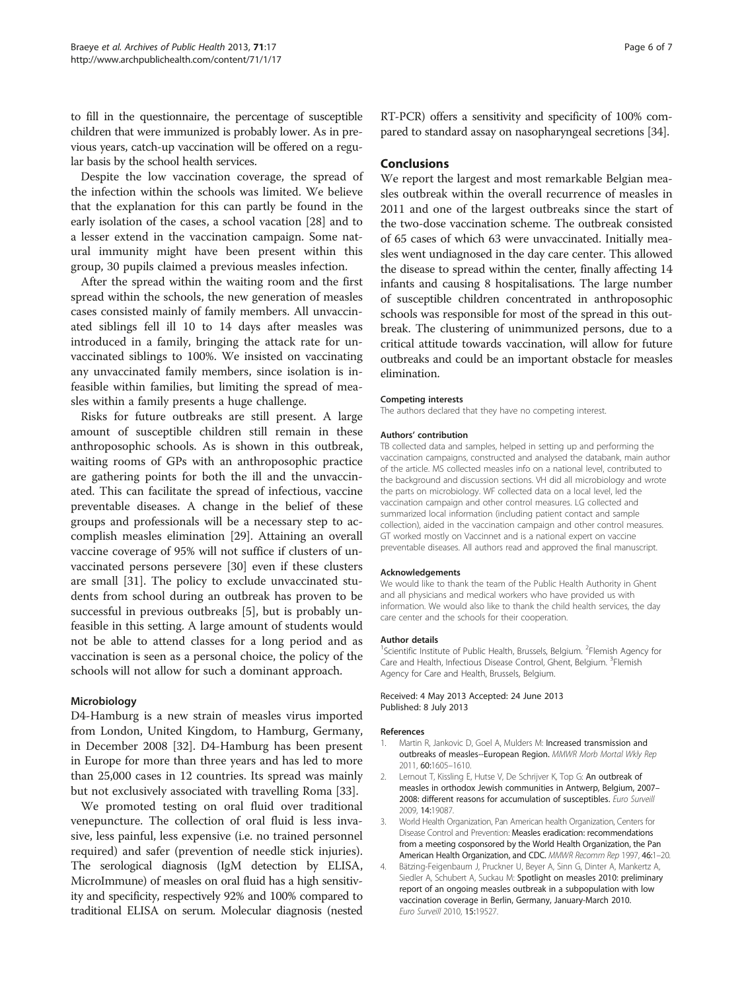<span id="page-5-0"></span>to fill in the questionnaire, the percentage of susceptible children that were immunized is probably lower. As in previous years, catch-up vaccination will be offered on a regular basis by the school health services.

Despite the low vaccination coverage, the spread of the infection within the schools was limited. We believe that the explanation for this can partly be found in the early isolation of the cases, a school vacation [[28\]](#page-6-0) and to a lesser extend in the vaccination campaign. Some natural immunity might have been present within this group, 30 pupils claimed a previous measles infection.

After the spread within the waiting room and the first spread within the schools, the new generation of measles cases consisted mainly of family members. All unvaccinated siblings fell ill 10 to 14 days after measles was introduced in a family, bringing the attack rate for unvaccinated siblings to 100%. We insisted on vaccinating any unvaccinated family members, since isolation is infeasible within families, but limiting the spread of measles within a family presents a huge challenge.

Risks for future outbreaks are still present. A large amount of susceptible children still remain in these anthroposophic schools. As is shown in this outbreak, waiting rooms of GPs with an anthroposophic practice are gathering points for both the ill and the unvaccinated. This can facilitate the spread of infectious, vaccine preventable diseases. A change in the belief of these groups and professionals will be a necessary step to accomplish measles elimination [\[29](#page-6-0)]. Attaining an overall vaccine coverage of 95% will not suffice if clusters of unvaccinated persons persevere [[30\]](#page-6-0) even if these clusters are small [[31\]](#page-6-0). The policy to exclude unvaccinated students from school during an outbreak has proven to be successful in previous outbreaks [[5\]](#page-6-0), but is probably unfeasible in this setting. A large amount of students would not be able to attend classes for a long period and as vaccination is seen as a personal choice, the policy of the schools will not allow for such a dominant approach.

# Microbiology

D4-Hamburg is a new strain of measles virus imported from London, United Kingdom, to Hamburg, Germany, in December 2008 [[32](#page-6-0)]. D4-Hamburg has been present in Europe for more than three years and has led to more than 25,000 cases in 12 countries. Its spread was mainly but not exclusively associated with travelling Roma [\[33\]](#page-6-0).

We promoted testing on oral fluid over traditional venepuncture. The collection of oral fluid is less invasive, less painful, less expensive (i.e. no trained personnel required) and safer (prevention of needle stick injuries). The serological diagnosis (IgM detection by ELISA, MicroImmune) of measles on oral fluid has a high sensitivity and specificity, respectively 92% and 100% compared to traditional ELISA on serum. Molecular diagnosis (nested RT-PCR) offers a sensitivity and specificity of 100% compared to standard assay on nasopharyngeal secretions [\[34\]](#page-6-0).

## Conclusions

We report the largest and most remarkable Belgian measles outbreak within the overall recurrence of measles in 2011 and one of the largest outbreaks since the start of the two-dose vaccination scheme. The outbreak consisted of 65 cases of which 63 were unvaccinated. Initially measles went undiagnosed in the day care center. This allowed the disease to spread within the center, finally affecting 14 infants and causing 8 hospitalisations. The large number of susceptible children concentrated in anthroposophic schools was responsible for most of the spread in this outbreak. The clustering of unimmunized persons, due to a critical attitude towards vaccination, will allow for future outbreaks and could be an important obstacle for measles elimination.

#### Competing interests

The authors declared that they have no competing interest.

#### Authors' contribution

TB collected data and samples, helped in setting up and performing the vaccination campaigns, constructed and analysed the databank, main author of the article. MS collected measles info on a national level, contributed to the background and discussion sections. VH did all microbiology and wrote the parts on microbiology. WF collected data on a local level, led the vaccination campaign and other control measures. LG collected and summarized local information (including patient contact and sample collection), aided in the vaccination campaign and other control measures. GT worked mostly on Vaccinnet and is a national expert on vaccine preventable diseases. All authors read and approved the final manuscript.

#### Acknowledgements

We would like to thank the team of the Public Health Authority in Ghent and all physicians and medical workers who have provided us with information. We would also like to thank the child health services, the day care center and the schools for their cooperation.

#### Author details

<sup>1</sup>Scientific Institute of Public Health, Brussels, Belgium. <sup>2</sup>Flemish Agency for Care and Health, Infectious Disease Control, Ghent, Belgium. <sup>3</sup>Flemish Agency for Care and Health, Brussels, Belgium.

#### Received: 4 May 2013 Accepted: 24 June 2013 Published: 8 July 2013

#### References

- 1. Martin R, Jankovic D, Goel A, Mulders M: Increased transmission and outbreaks of measles--European Region. MMWR Morb Mortal Wkly Rep 2011, 60:1605–1610.
- 2. Lernout T, Kissling E, Hutse V, De Schrijver K, Top G: An outbreak of measles in orthodox Jewish communities in Antwerp, Belgium, 2007– 2008: different reasons for accumulation of susceptibles. Euro Surveill 2009, 14:19087.
- 3. World Health Organization, Pan American health Organization, Centers for Disease Control and Prevention: Measles eradication: recommendations from a meeting cosponsored by the World Health Organization, the Pan American Health Organization, and CDC. MMWR Recomm Rep 1997, 46:1–20.
- 4. Bätzing-Feigenbaum J, Pruckner U, Beyer A, Sinn G, Dinter A, Mankertz A, Siedler A, Schubert A, Suckau M: Spotlight on measles 2010: preliminary report of an ongoing measles outbreak in a subpopulation with low vaccination coverage in Berlin, Germany, January-March 2010. Euro Surveill 2010, 15:19527.